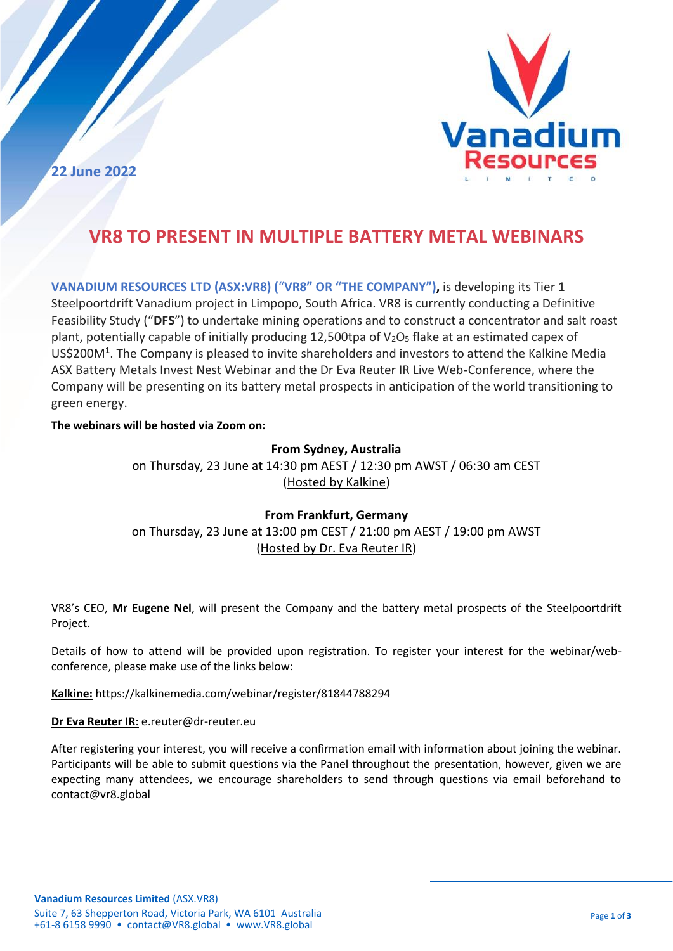

**22 June 2022**

# **VR8 TO PRESENT IN MULTIPLE BATTERY METAL WEBINARS**

**VANADIUM RESOURCES LTD (ASX:VR8) (**"**VR8" OR "THE COMPANY"),** is developing its Tier 1 Steelpoortdrift Vanadium project in Limpopo, South Africa. VR8 is currently conducting a Definitive Feasibility Study ("**DFS**") to undertake mining operations and to construct a concentrator and salt roast plant, potentially capable of initially producing 12,500tpa of  $V_2O_5$  flake at an estimated capex of US\$200M**<sup>1</sup>** . The Company is pleased to invite shareholders and investors to attend the Kalkine Media ASX Battery Metals Invest Nest Webinar and the Dr Eva Reuter IR Live Web-Conference, where the Company will be presenting on its battery metal prospects in anticipation of the world transitioning to green energy.

**The webinars will be hosted via Zoom on:**

## **From Sydney, Australia**

on Thursday, 23 June at 14:30 pm AEST / 12:30 pm AWST / 06:30 am CEST (Hosted by Kalkine)

## **From Frankfurt, Germany**

on Thursday, 23 June at 13:00 pm CEST / 21:00 pm AEST / 19:00 pm AWST (Hosted by Dr. Eva Reuter IR)

VR8's CEO, **Mr Eugene Nel**, will present the Company and the battery metal prospects of the Steelpoortdrift Project.

Details of how to attend will be provided upon registration. To register your interest for the webinar/webconference, please make use of the links below:

**Kalkine:** https://kalkinemedia.com/webinar/register/81844788294

**Dr Eva Reuter IR**: e.reuter@dr-reuter.eu

After registering your interest, you will receive a confirmation email with information about joining the webinar. Participants will be able to submit questions via the Panel throughout the presentation, however, given we are expecting many attendees, we encourage shareholders to send through questions via email beforehand to contact@vr8.global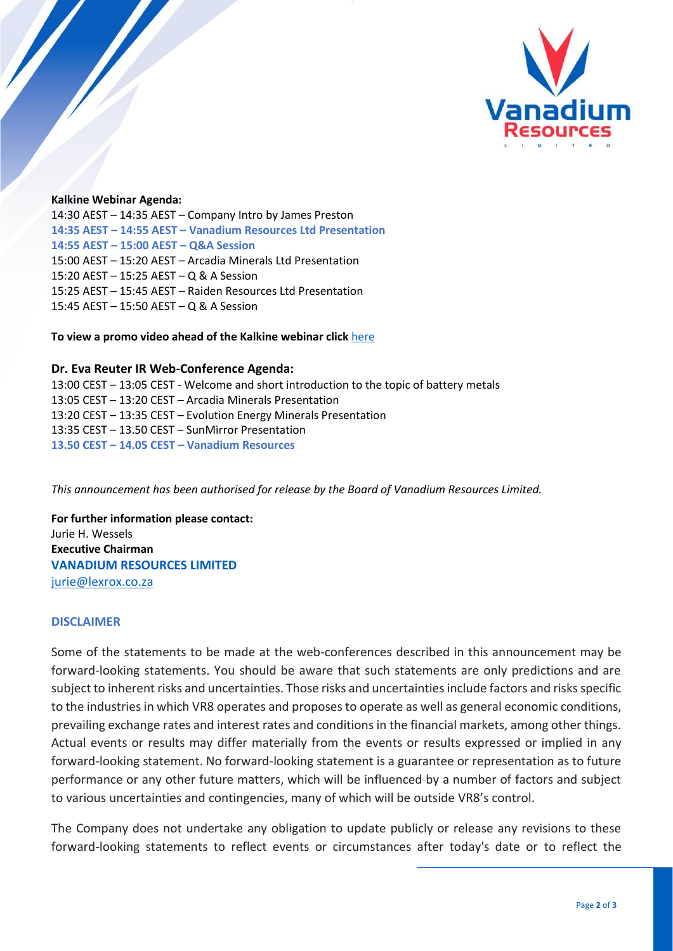

### **Kalkine Webinar Agenda:**

14:30 AEST – 14:35 AEST – Company Intro by James Preston **14:35 AEST – 14:55 AEST – Vanadium Resources Ltd Presentation 14:55 AEST – 15:00 AEST – Q&A Session** 15:00 AEST – 15:20 AEST – Arcadia Minerals Ltd Presentation 15:20 AEST – 15:25 AEST – Q & A Session 15:25 AEST – 15:45 AEST – Raiden Resources Ltd Presentation 15:45 AEST – 15:50 AEST – Q & A Session

**To view a promo video ahead of the Kalkine webinar click** [here](https://www.youtube.com/watch?v=jq0HIrEWXgs) 

#### **Dr. Eva Reuter IR Web-Conference Agenda:**

13:00 CEST – 13:05 CEST - Welcome and short introduction to the topic of battery metals 13:05 CEST – 13:20 CEST – Arcadia Minerals Presentation 13:20 CEST – 13:35 CEST – Evolution Energy Minerals Presentation 13:35 CEST – 13.50 CEST – SunMirror Presentation **13.50 CEST – 14.05 CEST – Vanadium Resources**

*This announcement has been authorised for release by the Board of Vanadium Resources Limited.*

**For further information please contact:** Jurie H. Wessels **Executive Chairman VANADIUM RESOURCES LIMITED**  [jurie@lexrox.co.za](mailto:contact@VR8.global) 

#### **DISCLAIMER**

Some of the statements to be made at the web-conferences described in this announcement may be forward-looking statements. You should be aware that such statements are only predictions and are subject to inherent risks and uncertainties. Those risks and uncertainties include factors and risks specific to the industries in which VR8 operates and proposes to operate as well as general economic conditions, prevailing exchange rates and interest rates and conditions in the financial markets, among other things. Actual events or results may differ materially from the events or results expressed or implied in any forward-looking statement. No forward-looking statement is a guarantee or representation as to future performance or any other future matters, which will be influenced by a number of factors and subject to various uncertainties and contingencies, many of which will be outside VR8's control.

The Company does not undertake any obligation to update publicly or release any revisions to these forward-looking statements to reflect events or circumstances after today's date or to reflect the